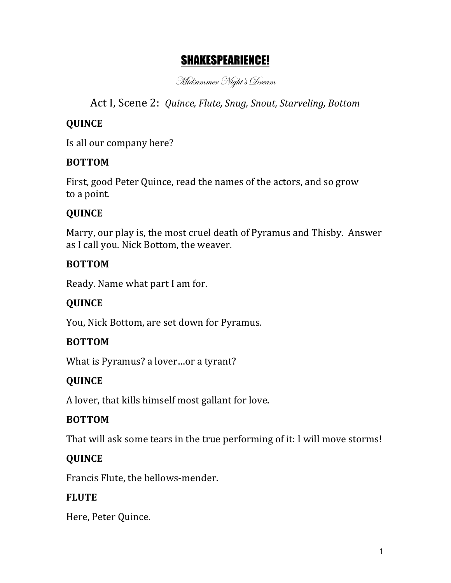# SHAKESPEARIENCE!

Midsummer Night's Dream

Act I, Scene 2: *Quince, Flute, Snug, Snout, Starveling, Bottom* 

# **QUINCE**

Is all our company here?

#### **BOTTOM**

First, good Peter Quince, read the names of the actors, and so grow to a point.

# **QUINCE**

Marry, our play is, the most cruel death of Pyramus and Thisby. Answer as I call you. Nick Bottom, the weaver.

# **BOTTOM**

Ready. Name what part I am for.

# **QUINCE**

You, Nick Bottom, are set down for Pyramus.

# **BOTTOM**

What is Pyramus? a lover...or a tyrant?

# **QUINCE**

A lover, that kills himself most gallant for love.

# **BOTTOM**

That will ask some tears in the true performing of it: I will move storms!

# **QUINCE**

Francis Flute, the bellows-mender.

# **FLUTE**

Here, Peter Quince.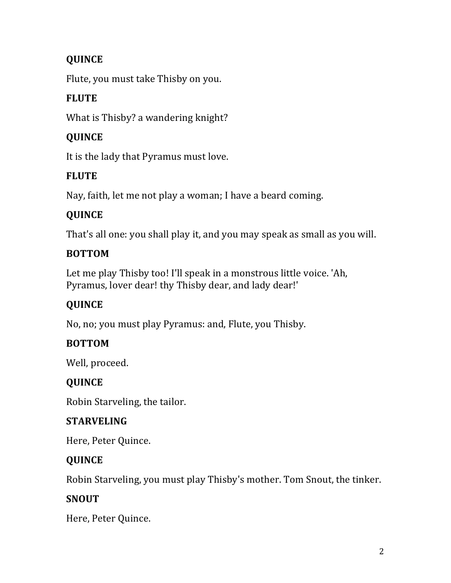# **QUINCE**

Flute, you must take Thisby on you.

# **FLUTE**

What is Thisby? a wandering knight?

# **QUINCE**

It is the lady that Pyramus must love.

#### **FLUTE**

Nay, faith, let me not play a woman; I have a beard coming.

# **QUINCE**

That's all one: you shall play it, and you may speak as small as you will.

#### **BOTTOM**

Let me play Thisby too! I'll speak in a monstrous little voice. 'Ah, Pyramus, lover dear! thy Thisby dear, and lady dear!'

# **QUINCE**

No, no; you must play Pyramus: and, Flute, you Thisby.

#### **BOTTOM**

Well, proceed.

#### **QUINCE**

Robin Starveling, the tailor.

#### **STARVELING**

Here, Peter Quince.

# **QUINCE**

Robin Starveling, you must play Thisby's mother. Tom Snout, the tinker.

#### **SNOUT**

Here, Peter Quince.